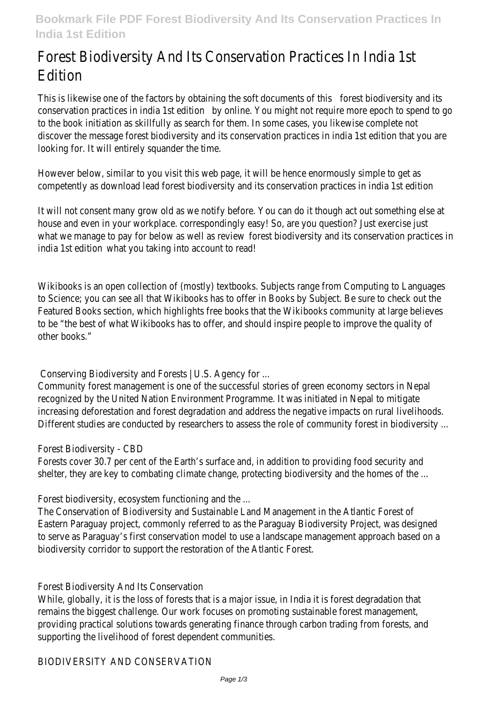# Forest Biodiversity And Its Conservation Practices In India 1st Edition

This is likewise one of the factors by obtaining the soft documents of this forest biodiversity and its conservation practices in india 1st edition by online. You might not require more epoch to spend to go to the book initiation as skillfully as search for them. In some cases, you likewise complete not discover the message forest biodiversity and its conservation practices in india 1st edition that you are looking for. It will entirely squander the time.

However below, similar to you visit this web page, it will be hence enormously simple to get as competently as download lead forest biodiversity and its conservation practices in india 1st edition

It will not consent many grow old as we notify before. You can do it though act out something else at house and even in your workplace. correspondingly easy! So, are you question? Just exercise just what we manage to pay for below as well as review forest biodiversity and its conservation practices in india 1st edition what you taking into account to read!

Wikibooks is an open collection of (mostly) textbooks. Subjects range from Computing to Languages to Science; you can see all that Wikibooks has to offer in Books by Subject. Be sure to check out the Featured Books section, which highlights free books that the Wikibooks community at large believes to be "the best of what Wikibooks has to offer, and should inspire people to improve the quality of other books."

Conserving Biodiversity and Forests | U.S. Agency for ...

Community forest management is one of the successful stories of green economy sectors in Nepal recognized by the United Nation Environment Programme. It was initiated in Nepal to mitigate increasing deforestation and forest degradation and address the negative impacts on rural livelihoods. Different studies are conducted by researchers to assess the role of community forest in biodiversity ...

# Forest Biodiversity - CBD

Forests cover 30.7 per cent of the Earth's surface and, in addition to providing food security and shelter, they are key to combating climate change, protecting biodiversity and the homes of the ...

Forest biodiversity, ecosystem functioning and the ...

The Conservation of Biodiversity and Sustainable Land Management in the Atlantic Forest of Eastern Paraguay project, commonly referred to as the Paraguay Biodiversity Project, was designed to serve as Paraguay's first conservation model to use a landscape management approach based on a biodiversity corridor to support the restoration of the Atlantic Forest.

# Forest Biodiversity And Its Conservation

While, globally, it is the loss of forests that is a major issue, in India it is forest degradation that remains the biggest challenge. Our work focuses on promoting sustainable forest management, providing practical solutions towards generating finance through carbon trading from forests, and supporting the livelihood of forest dependent communities.

#### BIODIVERSITY AND CONSERVATION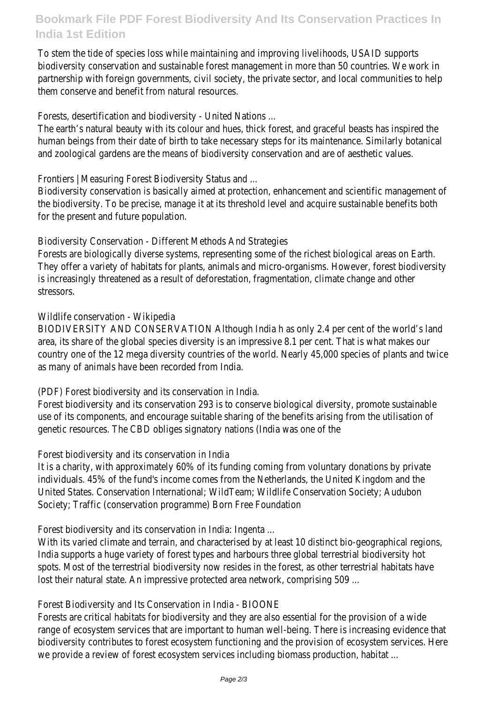# **Bookmark File PDF Forest Biodiversity And Its Conservation Practices In India 1st Edition**

To stem the tide of species loss while maintaining and improving livelihoods, USAID supports biodiversity conservation and sustainable forest management in more than 50 countries. We work in partnership with foreign governments, civil society, the private sector, and local communities to help them conserve and benefit from natural resources.

Forests, desertification and biodiversity - United Nations ...

The earth's natural beauty with its colour and hues, thick forest, and graceful beasts has inspired the human beings from their date of birth to take necessary steps for its maintenance. Similarly botanical and zoological gardens are the means of biodiversity conservation and are of aesthetic values.

Frontiers | Measuring Forest Biodiversity Status and ...

Biodiversity conservation is basically aimed at protection, enhancement and scientific management of the biodiversity. To be precise, manage it at its threshold level and acquire sustainable benefits both for the present and future population.

Biodiversity Conservation - Different Methods And Strategies

Forests are biologically diverse systems, representing some of the richest biological areas on Earth. They offer a variety of habitats for plants, animals and micro-organisms. However, forest biodiversity is increasingly threatened as a result of deforestation, fragmentation, climate change and other stressors.

# Wildlife conservation - Wikipedia

BIODIVERSITY AND CONSERVATION Although India h as only 2.4 per cent of the world's land area, its share of the global species diversity is an impressive 8.1 per cent. That is what makes our country one of the 12 mega diversity countries of the world. Nearly 45,000 species of plants and twice as many of animals have been recorded from India.

(PDF) Forest biodiversity and its conservation in India.

Forest biodiversity and its conservation 293 is to conserve biological diversity, promote sustainable use of its components, and encourage suitable sharing of the benefits arising from the utilisation of genetic resources. The CBD obliges signatory nations (India was one of the

# Forest biodiversity and its conservation in India

It is a charity, with approximately 60% of its funding coming from voluntary donations by private individuals. 45% of the fund's income comes from the Netherlands, the United Kingdom and the United States. Conservation International; WildTeam; Wildlife Conservation Society; Audubon Society; Traffic (conservation programme) Born Free Foundation

Forest biodiversity and its conservation in India: Ingenta ...

With its varied climate and terrain, and characterised by at least 10 distinct bio-geographical regions, India supports a huge variety of forest types and harbours three global terrestrial biodiversity hot spots. Most of the terrestrial biodiversity now resides in the forest, as other terrestrial habitats have lost their natural state. An impressive protected area network, comprising 509 ...

# Forest Biodiversity and Its Conservation in India - BIOONE

Forests are critical habitats for biodiversity and they are also essential for the provision of a wide range of ecosystem services that are important to human well-being. There is increasing evidence that biodiversity contributes to forest ecosystem functioning and the provision of ecosystem services. Here we provide a review of forest ecosystem services including biomass production, habitat ...